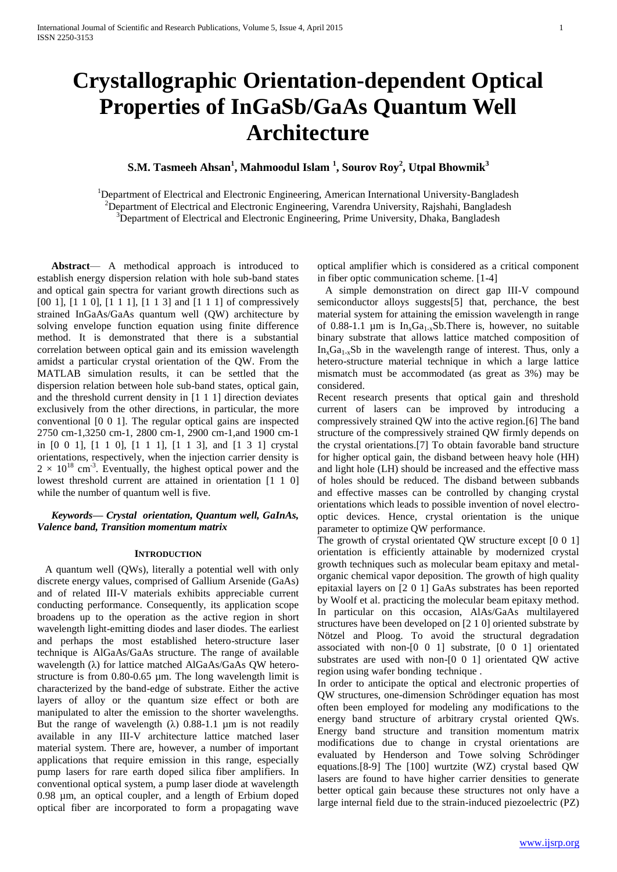# **Crystallographic Orientation-dependent Optical Properties of InGaSb/GaAs Quantum Well Architecture**

## **S.M. Tasmeeh Ahsan<sup>1</sup> , Mahmoodul Islam <sup>1</sup> , Sourov Roy<sup>2</sup> , Utpal Bhowmik<sup>3</sup>**

<sup>1</sup>Department of Electrical and Electronic Engineering, American International University-Bangladesh <sup>2</sup>Department of Electrical and Electronic Engineering, Varendra University, Rajshahi, Bangladesh <sup>3</sup>Department of Electrical and Electronic Engineering, Prime University, Dhaka, Bangladesh

**Abstract**— A methodical approach is introduced to establish energy dispersion relation with hole sub-band states and optical gain spectra for variant growth directions such as [00 1], [1 1 0], [1 1 1], [1 1 3] and [1 1 1] of compressively strained InGaAs/GaAs quantum well (QW) architecture by solving envelope function equation using finite difference method. It is demonstrated that there is a substantial correlation between optical gain and its emission wavelength amidst a particular crystal orientation of the QW. From the MATLAB simulation results, it can be settled that the dispersion relation between hole sub-band states, optical gain, and the threshold current density in [1 1 1] direction deviates exclusively from the other directions, in particular, the more conventional [0 0 1]. The regular optical gains are inspected 2750 cm-1,3250 cm-1, 2800 cm-1, 2900 cm-1,and 1900 cm-1 in [0 0 1], [1 1 0], [1 1 1], [1 1 3], and [1 3 1] crystal orientations, respectively, when the injection carrier density is  $2 \times 10^{18}$  cm<sup>-3</sup>. Eventually, the highest optical power and the lowest threshold current are attained in orientation [1 1 0] while the number of quantum well is five.

## *Keywords— Crystal orientation, Quantum well, GaInAs, Valence band, Transition momentum matrix*

### **INTRODUCTION**

 A quantum well (QWs), literally a potential well with only discrete energy values, comprised of Gallium Arsenide (GaAs) and of related III-V materials exhibits appreciable current conducting performance. Consequently, its application scope broadens up to the operation as the active region in short wavelength light-emitting diodes and laser diodes. The earliest and perhaps the most established hetero-structure laser technique is AlGaAs/GaAs structure. The range of available wavelength (λ) for lattice matched AlGaAs/GaAs QW heterostructure is from 0.80-0.65 µm. The long wavelength limit is characterized by the band-edge of substrate. Either the active layers of alloy or the quantum size effect or both are manipulated to alter the emission to the shorter wavelengths. But the range of wavelength  $(\lambda)$  0.88-1.1 µm is not readily available in any III-V architecture lattice matched laser material system. There are, however, a number of important applications that require emission in this range, especially pump lasers for rare earth doped silica fiber amplifiers. In conventional optical system, a pump laser diode at wavelength 0.98 µm, an optical coupler, and a length of Erbium doped optical fiber are incorporated to form a propagating wave

optical amplifier which is considered as a critical component in fiber optic communication scheme. [1-4]

 A simple demonstration on direct gap III-V compound semiconductor alloys suggests[5] that, perchance, the best material system for attaining the emission wavelength in range of 0.88-1.1 µm is  $In_xGa_{1-x}Sb$ . There is, however, no suitable binary substrate that allows lattice matched composition of  $In<sub>x</sub>Ga<sub>1-x</sub>Sb$  in the wavelength range of interest. Thus, only a hetero-structure material technique in which a large lattice mismatch must be accommodated (as great as 3%) may be considered.

Recent research presents that optical gain and threshold current of lasers can be improved by introducing a compressively strained QW into the active region.[6] The band structure of the compressively strained QW firmly depends on the crystal orientations.[7] To obtain favorable band structure for higher optical gain, the disband between heavy hole (HH) and light hole (LH) should be increased and the effective mass of holes should be reduced. The disband between subbands and effective masses can be controlled by changing crystal orientations which leads to possible invention of novel electrooptic devices. Hence, crystal orientation is the unique parameter to optimize QW performance.

The growth of crystal orientated QW structure except [0 0 1] orientation is efficiently attainable by modernized crystal growth techniques such as molecular beam epitaxy and metalorganic chemical vapor deposition. The growth of high quality epitaxial layers on [2 0 1] GaAs substrates has been reported by Woolf et al. practicing the molecular beam epitaxy method. In particular on this occasion, AlAs/GaAs multilayered structures have been developed on [2 1 0] oriented substrate by Nötzel and Ploog. To avoid the structural degradation associated with non-[0 0 1] substrate, [0 0 1] orientated substrates are used with non-[0 0 1] orientated QW active region using wafer bonding technique .

In order to anticipate the optical and electronic properties of QW structures, one-dimension Schrödinger equation has most often been employed for modeling any modifications to the energy band structure of arbitrary crystal oriented QWs. Energy band structure and transition momentum matrix modifications due to change in crystal orientations are evaluated by Henderson and Towe solving Schrödinger equations.[8-9] The [100] wurtzite (WZ) crystal based QW lasers are found to have higher carrier densities to generate better optical gain because these structures not only have a large internal field due to the strain-induced piezoelectric (PZ)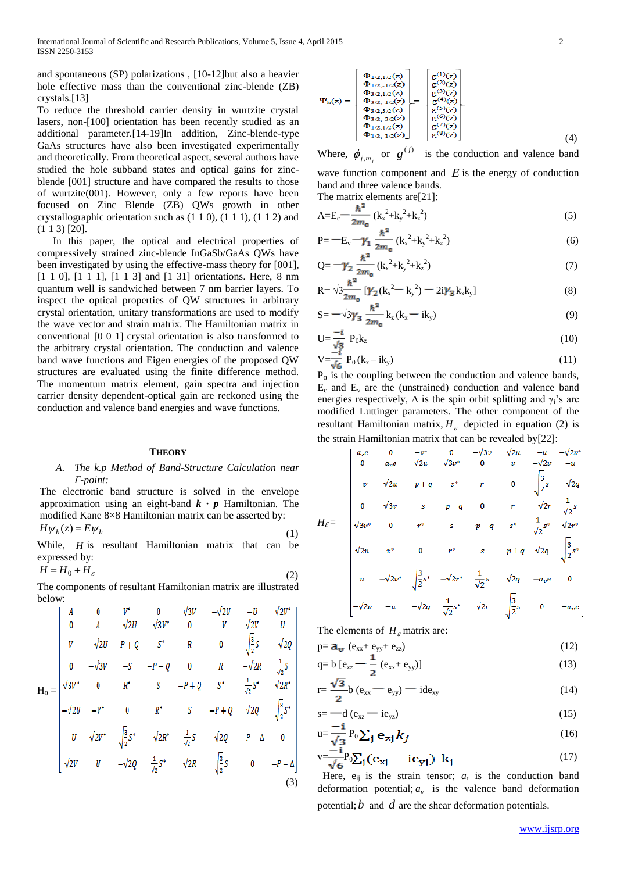and spontaneous (SP) polarizations , [10-12]but also a heavier hole effective mass than the conventional zinc-blende (ZB) crystals.[13]

To reduce the threshold carrier density in wurtzite crystal lasers, non-[100] orientation has been recently studied as an additional parameter.[14-19]In addition, Zinc-blende-type GaAs structures have also been investigated experimentally and theoretically. From theoretical aspect, several authors have studied the hole subband states and optical gains for zincblende [001] structure and have compared the results to those of wurtzite(001). However, only a few reports have been focused on Zinc Blende (ZB) QWs growth in other crystallographic orientation such as (1 1 0), (1 1 1), (1 1 2) and (1 1 3) [20].

 In this paper, the optical and electrical properties of compressively strained zinc-blende InGaSb/GaAs QWs have been investigated by using the effective-mass theory for [001], [1 1 0], [1 1 1], [1 1 3] and [1 31] orientations. Here, 8 nm quantum well is sandwiched between 7 nm barrier layers. To inspect the optical properties of QW structures in arbitrary crystal orientation, unitary transformations are used to modify the wave vector and strain matrix. The Hamiltonian matrix in conventional [0 0 1] crystal orientation is also transformed to the arbitrary crystal orientation. The conduction and valence band wave functions and Eigen energies of the proposed QW structures are evaluated using the finite difference method. The momentum matrix element, gain spectra and injection carrier density dependent-optical gain are reckoned using the conduction and valence band energies and wave functions.

#### **THEORY**

#### *A. The k.p Method of Band-Structure Calculation near Γ-point:*

The electronic band structure is solved in the envelope approximation using an eight-band *k · p* Hamiltonian. The modified Kane 8×8 Hamiltonian matrix can be asserted by:

$$
H\psi_h(z) = E\psi_h \tag{1}
$$

While, *H* is resultant Hamiltonian matrix that can be expressed by: *H H*<sup>0</sup> *H*

$$
H = H_0 + H_\varepsilon \tag{2}
$$

The components of resultant Hamiltonian matrix are illustrated below:

$$
H_{0} = \begin{bmatrix} A & 0 & V^* & 0 & \sqrt{3}V & -\sqrt{2}U & -U & \sqrt{2}V^* \\ 0 & A & -\sqrt{2}U & -\sqrt{3}V^* & 0 & -V & \sqrt{2}V & U \\ V & -\sqrt{2}U & -P + Q & -S^* & R & 0 & \sqrt{\frac{3}{2}}S & -\sqrt{2}Q \\ 0 & -\sqrt{3}V & -S & -P - Q & 0 & R & -\sqrt{2}R & \frac{1}{\sqrt{2}}S \\ \sqrt{3}V^* & 0 & R^* & S & -P + Q & S^* & \frac{1}{\sqrt{2}}S^* & \sqrt{2}R^* \\ -\sqrt{2}U & -V^* & 0 & R^* & S & -P + Q & \sqrt{2}Q & \sqrt{\frac{3}{2}}S^* \\ -U & \sqrt{2}V^* & \sqrt{\frac{3}{2}}S^* & -\sqrt{2}R^* & \frac{1}{\sqrt{2}}S & \sqrt{2}Q & -P - \Delta & 0 \\ \sqrt{2}V & U & -\sqrt{2}Q & \frac{1}{\sqrt{2}}S^* & \sqrt{2}R & \sqrt{\frac{3}{2}}S & 0 & -P - \Delta \end{bmatrix}
$$
(3)

$$
\Psi_{h}(z) = \begin{bmatrix} \Phi_{1/2,1/2}(z) \\ \Phi_{1/2,-1/2}(z) \\ \Phi_{3/2,1/2}(z) \\ \Phi_{3/2,-1/2}(z) \\ \Phi_{3/2,-3/2}(z) \\ \Phi_{1/2,1/2}(z) \\ \Phi_{1/2,-1/2}(z) \end{bmatrix} = \begin{bmatrix} g^{(1)}(z) \\ g^{(2)}(z) \\ g^{(3)}(z) \\ g^{(4)}(z) \\ g^{(5)}(z) \\ g^{(6)}(z) \\ g^{(7)}(z) \\ g^{(8)}(z) \\ g^{(8)}(z) \end{bmatrix} (4)
$$

Where,  $\phi_{j,m_j}$  or  $g^{(j)}$  is the conduction and valence band

wave function component and  $E$  is the energy of conduction band and three valence bands. The matrix elements are[21]:

$$
A = E_c - \frac{\hbar^2}{2m_0} (k_x^2 + k_y^2 + k_z^2)
$$
 (5)

$$
P = -E_v - \gamma_1 \frac{\hbar^2}{2m_0} (k_x^2 + k_y^2 + k_z^2)
$$
 (6)

$$
Q = -\gamma_2 \frac{\hbar^2}{2m_0} (k_x^2 + k_y^2 + k_z^2)
$$
 (7)

$$
R = \sqrt{3\frac{n}{2m_0}} \left[ \gamma_2 (k_x^2 - k_y^2) - 2i\gamma_3 k_x k_y \right]
$$
\n(8)

$$
S = -\sqrt{3}\gamma_3 \frac{\hbar}{2m_0} k_z (k_x - ik_y)
$$
 (9)

$$
U = \frac{-i}{\sqrt{3}} P_0 k_z \tag{10}
$$

$$
V = \frac{1}{\sqrt{6}} P_0 (k_x - ik_y) \tag{11}
$$

 $P_0$  is the coupling between the conduction and valence bands,  $E_c$  and  $E_v$  are the (unstrained) conduction and valence band energies respectively,  $\Delta$  is the spin orbit splitting and  $\gamma_i$ 's are modified Luttinger parameters. The other component of the resultant Hamiltonian matrix,  $H_{\varepsilon}$  depicted in equation (2) is the strain Hamiltonian matrix that can be revealed by[22]:

$$
I_{\ell} = \begin{bmatrix} a_{c}e & 0 & -v^{*} & 0 & -\sqrt{3}v & \sqrt{2}u & -u & -\sqrt{2}v^{*} \\ 0 & a_{c}e & \sqrt{2}u & \sqrt{3}v^{*} & 0 & v & -\sqrt{2}v & -u \\ -v & \sqrt{2}u & -p+q & -s^{*} & r & 0 & \sqrt{\frac{3}{2}}s & -\sqrt{2}q \\ 0 & \sqrt{3}v & -s & -p-q & 0 & r & -\sqrt{2}r & \frac{1}{\sqrt{2}}s \\ \sqrt{3}v^{*} & 0 & r^{*} & s & -p-q & s^{*} & \frac{1}{\sqrt{2}}s^{*} & \sqrt{2}r^{*} \\ \sqrt{2}u & v^{*} & 0 & r^{*} & s & -p+q & \sqrt{2}q & \sqrt{\frac{3}{2}}s^{*} \\ u & -\sqrt{2}v^{*} & \sqrt{\frac{3}{2}}s^{*} & -\sqrt{2}r^{*} & \frac{1}{\sqrt{2}}s & \sqrt{2}q & -a_{v}e & 0 \\ -\sqrt{2}v & -u & -\sqrt{2}q & \frac{1}{\sqrt{2}}s^{*} & \sqrt{2}r & \sqrt{\frac{3}{2}}s & 0 & -a_{v}e \end{bmatrix}
$$

The elements of  $H_{\varepsilon}$  matrix are:

*H<sup>Ɛ</sup>* =

$$
p = a_v (e_{xx} + e_{yy} + e_{zz})
$$
 (12)

$$
q = b [e_{zz} - \frac{1}{2} (e_{xx} + e_{yy})]
$$
 (13)

$$
r = \frac{\sqrt{3}}{2}b (e_{xx} - e_{yy}) - ide_{xy}
$$
 (14)

$$
s = -d (e_{xz} - ie_{yz})
$$
\n
$$
-i
$$
\n(15)

$$
u = \frac{1}{\sqrt{3}} P_0 \sum_j e_{zj} k_j
$$
 (16)

$$
v = \frac{-1}{\sqrt{6}} P_0 \sum_j (e_{xj} - ie_{yj}) k_j
$$
 (17)

Here,  $e_{ii}$  is the strain tensor;  $a_c$  is the conduction band deformation potential;  $a_v$  is the valence band deformation potential;  $b$  and  $d$  are the shear deformation potentials.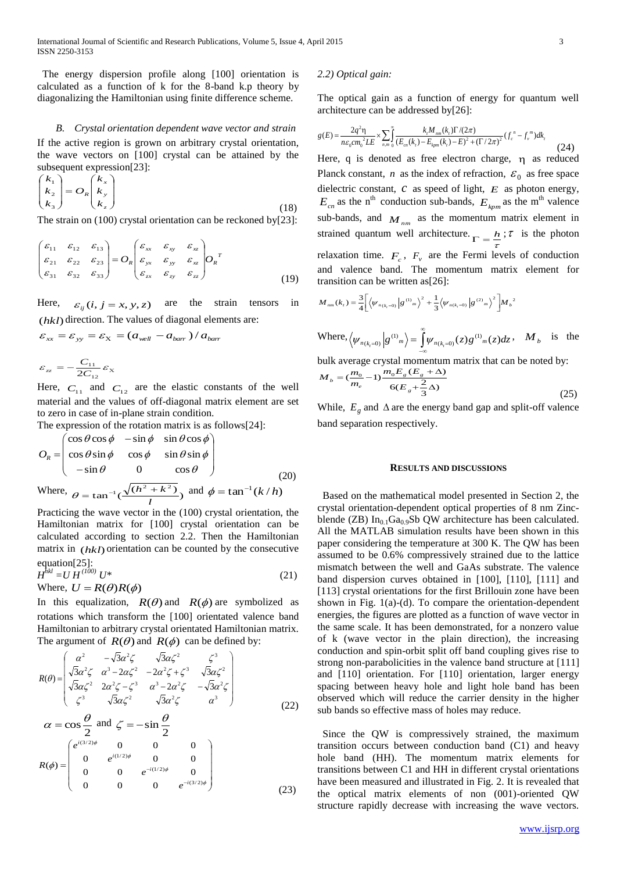The energy dispersion profile along [100] orientation is calculated as a function of k for the 8-band k.p theory by diagonalizing the Hamiltonian using finite difference scheme.

#### *B. Crystal orientation dependent wave vector and strain*

If the active region is grown on arbitrary crystal orientation, the wave vectors on [100] crystal can be attained by the subsequent expression[23]:

$$
\begin{pmatrix} k_1 \\ k_2 \\ k_3 \end{pmatrix} = O_R \begin{pmatrix} k_x \\ k_y \\ k_z \end{pmatrix}
$$
  
The strain on (100) crystal orientation can be reckoned by [23]:

 $\mathcal{E}_{yy}$   $\varepsilon_{xz}$   $\left|O_R\right|^T$  $O_R\left|\begin{array}{ccc} \boldsymbol{\varepsilon}_{xx} & \boldsymbol{\varepsilon}_{xy} & \boldsymbol{\varepsilon}_{xz}\ \boldsymbol{\varepsilon}_{yx} & \boldsymbol{\varepsilon}_{yy} & \boldsymbol{\varepsilon}_{xz}\ \end{array}\right|O_L$  $\bigg)$ L  $\bigg($  $\vert$  =  $\big)$ L  $\bigl($  $\varepsilon$   $\varepsilon$   $\varepsilon$  $\varepsilon$   $\varepsilon$   $\varepsilon$   $\varepsilon$  $\mathcal{E}_{21}$   $\mathcal{E}_{22}$   $\mathcal{E}_{33}$  $\varepsilon_{11}$   $\varepsilon_{12}$   $\varepsilon_{13}$ <br>  $\varepsilon_{21}$   $\varepsilon_{22}$   $\varepsilon_{23}$  $\zeta_{11}$   $\varepsilon_{12}$   $\varepsilon_{13}$ 

$$
\begin{pmatrix} \mathbf{0}_{21} & \mathbf{0}_{22} & \mathbf{0}_{23} \\ \varepsilon_{31} & \varepsilon_{32} & \varepsilon_{33} \end{pmatrix} \qquad \begin{pmatrix} \mathbf{0}_{yx} & \mathbf{0}_{yy} & \mathbf{0}_{xz} \\ \varepsilon_{zx} & \varepsilon_{zy} & \varepsilon_{zz} \end{pmatrix} R \qquad (19)
$$

Here,  $\varepsilon_{ij}$   $(i, j = x, y, z)$ are the strain tensors in (*hkl*) direction. The values of diagonal elements are:

$$
\varepsilon_{xx} = \varepsilon_{yy} = \varepsilon_{x} = (a_{well} - a_{bar})/a_{bar}
$$

 $\varepsilon_{zz} = -\frac{1}{2C_{12}} \varepsilon_{x}$  $\frac{C_{11}}{2C_{12}} \varepsilon_{\text{X}}$  but av  $\epsilon_z = -\frac{C_{11}}{2C} \varepsilon_{\rm X}$  bulk as

Here,  $C_{11}$  and  $C_{12}$  are the elastic constants of the well material and the values of off-diagonal matrix element are set to zero in case of in-plane strain condition.

The expression of the rotation matrix is as follows[24]:

$$
O_R = \begin{pmatrix} \cos \theta \cos \phi & -\sin \phi & \sin \theta \cos \phi \\ \cos \theta \sin \phi & \cos \phi & \sin \theta \sin \phi \\ -\sin \theta & 0 & \cos \theta \end{pmatrix}
$$
 (20)  
Where,  $\theta = \tan^{-1}(\frac{\sqrt{(h^2 + k^2)}}{l})$  and  $\phi = \tan^{-1}(k/h)$ 

Practicing the wave vector in the (100) crystal orientation, the Hamiltonian matrix for [100] crystal orientation can be calculated according to section 2.2. Then the Hamiltonian matrix in (*hkl*) orientation can be counted by the consecutive equation[25]:

$$
H^{hkl} = U H^{(100)} U^*
$$
  
Where,  $U = R(\theta)R(\phi)$  (21)

In this equalization,  $R(\theta)$  and  $R(\phi)$  are symbolized as rotations which transform the [100] orientated valence band Hamiltonian to arbitrary crystal orientated Hamiltonian matrix. The argument of  $R(\theta)$  and  $R(\phi)$  can be defined by:

$$
R(\theta) = \begin{pmatrix} \alpha^2 & -\sqrt{3}\alpha^2 \zeta & \sqrt{3}\alpha \zeta^2 & \zeta^3 \\ \sqrt{3}\alpha^2 \zeta & \alpha^3 - 2\alpha \zeta^2 & -2\alpha^2 \zeta + \zeta^3 & \sqrt{3}\alpha \zeta^2 \\ \sqrt{3}\alpha \zeta^2 & 2\alpha^2 \zeta - \zeta^3 & \alpha^3 - 2\alpha^2 \zeta & -\sqrt{3}\alpha^2 \zeta \\ \zeta^3 & \sqrt{3}\alpha \zeta^2 & \sqrt{3}\alpha^2 \zeta & \alpha^3 \end{pmatrix}
$$
(22)

$$
\alpha = \cos \frac{\theta}{2} \text{ and } \zeta = -\sin \frac{\theta}{2}
$$
  
\n
$$
R(\phi) = \begin{pmatrix} e^{i(3/2)\phi} & 0 & 0 & 0 \\ 0 & e^{i(1/2)\phi} & 0 & 0 \\ 0 & 0 & e^{-i(1/2)\phi} & 0 \\ 0 & 0 & 0 & e^{-i(3/2)\phi} \end{pmatrix}
$$
 (23)

#### *2.2) Optical gain:*

The optical gain as a function of energy for quantum well architecture can be addressed by[26]:

$$
g(E) = \frac{2q^2 \eta}{n\varepsilon_0 c m_0^2 L E} \times \sum_{n,m} \int_0^\infty \frac{k_r M_{nm}(k_r) \Gamma/(2\pi)}{(E_{cn}(k_r) - E_{kpm}(k_r) - E)^2 + (\Gamma/2\pi)^2} (f_c^{\ n} - f_v^{\ m}) dk_r
$$
(24)

 $O_R \left| \int_{R_N}^{\infty} \right|$  dielectric constant, *c* as speed of light, *E* as photon energy, Here, q is denoted as free electron charge,  $\eta$  as reduced Planck constant, *n* as the index of refraction,  $\varepsilon_0$  as free space  $E_{cn}$  as the n<sup>th</sup> conduction sub-bands,  $E_{kpm}$  as the m<sup>th</sup> valence sub-bands, and  $M_{nm}$  as the momentum matrix element in strained quantum well architecture.  $\Gamma = \frac{h}{\Gamma}$ ;  $\tau$  is the photon τ relaxation time.  $F_c$ ,  $F_v$  are the Fermi levels of conduction and valence band. The momentum matrix element for transition can be written as[26]:

$$
M_{nm}(k_{t}) = \frac{3}{4} \left[ \left\langle \psi_{n(k_{t}=0)} \left| g^{(1)}_{m} \right\rangle^{2} + \frac{1}{3} \left\langle \psi_{n(k_{t}=0)} \left| g^{(2)}_{m} \right\rangle^{2} \right. \right] M_{b}^{2} \right]
$$

Where, 
$$
\langle \psi_{n(k_z=0)} | g^{(1)} \rangle = \int_{-\infty}^{\infty} \psi_{n(k_z=0)}(z) g^{(1)} \omega_{m}(z) dz
$$
,  $M_b$  is the

bulk average crystal momentum matrix that can be noted by:  $\frac{1}{2} m_0 E_g (E_g + \Delta)$ *<sup>m</sup> <sup>M</sup>*

$$
M_{b} = \left(\frac{m_{0}}{m_{e}} - 1\right) \frac{m_{0}E_{g}(E_{g} + \Delta)}{6(E_{g} + \frac{2}{3}\Delta)}
$$
\n(25)

While,  $E_g$  and  $\Delta$  are the energy band gap and split-off valence band separation respectively.

#### **RESULTS AND DISCUSSIONS**

 Based on the mathematical model presented in Section 2, the crystal orientation-dependent optical properties of 8 nm Zincblende (ZB)  $In_{0.1}Ga_{0.9}Sb$  QW architecture has been calculated. All the MATLAB simulation results have been shown in this paper considering the temperature at 300 K. The QW has been assumed to be 0.6% compressively strained due to the lattice mismatch between the well and GaAs substrate. The valence band dispersion curves obtained in [100], [110], [111] and [113] crystal orientations for the first Brillouin zone have been shown in Fig. 1(a)-(d). To compare the orientation-dependent energies, the figures are plotted as a function of wave vector in the same scale. It has been demonstrated, for a nonzero value of k (wave vector in the plain direction), the increasing conduction and spin-orbit split off band coupling gives rise to strong non-parabolicities in the valence band structure at [111] and [110] orientation. For [110] orientation, larger energy spacing between heavy hole and light hole band has been observed which will reduce the carrier density in the higher sub bands so effective mass of holes may reduce.

 Since the QW is compressively strained, the maximum transition occurs between conduction band (C1) and heavy hole band (HH). The momentum matrix elements for transitions between C1 and HH in different crystal orientations have been measured and illustrated in Fig. 2. It is revealed that the optical matrix elements of non (001)-oriented QW structure rapidly decrease with increasing the wave vectors.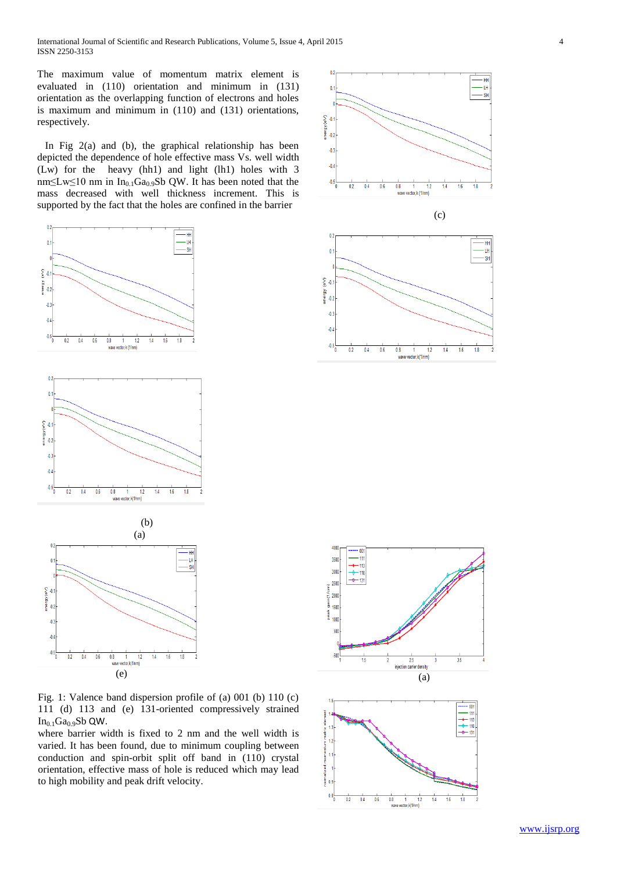International Journal of Scientific and Research Publications, Volume 5, Issue 4, April 2015 4 ISSN 2250-3153

The maximum value of momentum matrix element is evaluated in (110) orientation and minimum in (131) orientation as the overlapping function of electrons and holes is maximum and minimum in (110) and (131) orientations, respectively.

In Fig  $2(a)$  and (b), the graphical relationship has been depicted the dependence of hole effective mass Vs. well width (Lw) for the heavy (hh1) and light (lh1) holes with 3 nm≤Lw≤10 nm in In<sub>0.1</sub>Ga<sub>0.9</sub>Sb QW. It has been noted that the mass decreased with well thickness increment. This is supported by the fact that the holes are confined in the barrier



Fig. 1: Valence band dispersion profile of (a) 001 (b) 110 (c) 111 (d) 113 and (e) 131-oriented compressively strained  $In<sub>0.1</sub>Ga<sub>0.9</sub>Sb$  QW.

where barrier width is fixed to 2 nm and the well width is varied. It has been found, due to minimum coupling between conduction and spin-orbit split off band in (110) crystal orientation, effective mass of hole is reduced which may lead to high mobility and peak drift velocity.







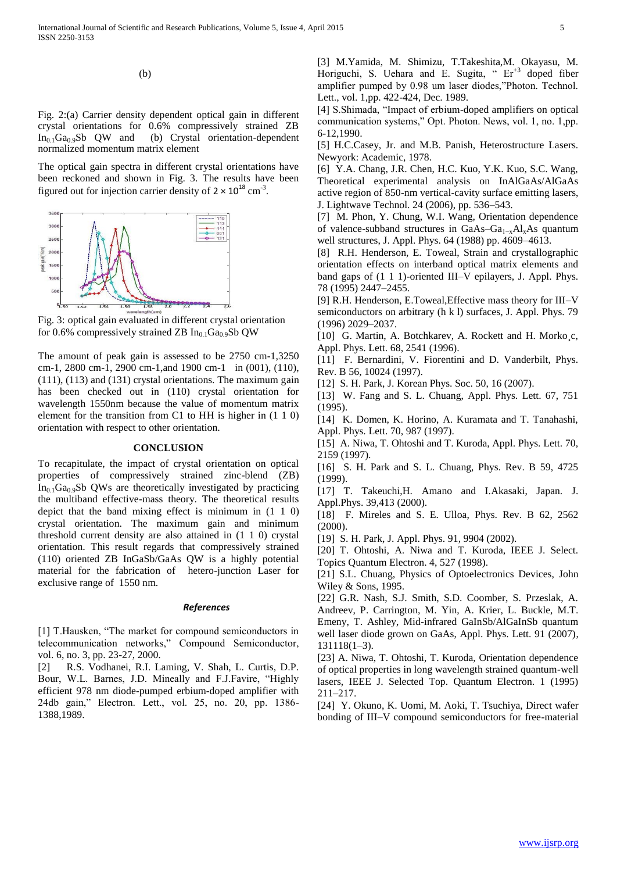(b)

Fig. 2:(a) Carrier density dependent optical gain in different crystal orientations for 0.6% compressively strained ZB  $In<sub>0.1</sub>Ga<sub>0.9</sub>Sb$  QW and (b) Crystal orientation-dependent (b) Crystal orientation-dependent normalized momentum matrix element

The optical gain spectra in different crystal orientations have been reckoned and shown in Fig. 3. The results have been figured out for injection carrier density of  $2 \times 10^{18}$  cm<sup>-3</sup>.



Fig. 3: optical gain evaluated in different crystal orientation for 0.6% compressively strained ZB  $In<sub>0.1</sub>Ga<sub>0.9</sub>Sb QW$ 

The amount of peak gain is assessed to be 2750 cm-1,3250 cm-1, 2800 cm-1, 2900 cm-1,and 1900 cm-1 in (001), (110), (111), (113) and (131) crystal orientations. The maximum gain has been checked out in (110) crystal orientation for wavelength 1550nm because the value of momentum matrix element for the transition from C1 to HH is higher in (1 1 0) orientation with respect to other orientation.

## **CONCLUSION**

To recapitulate, the impact of crystal orientation on optical properties of compressively strained zinc-blend (ZB)  $In<sub>0.1</sub>Ga<sub>0.9</sub>Sb$  QWs are theoretically investigated by practicing the multiband effective-mass theory. The theoretical results depict that the band mixing effect is minimum in (1 1 0) crystal orientation. The maximum gain and minimum threshold current density are also attained in (1 1 0) crystal orientation. This result regards that compressively strained (110) oriented ZB InGaSb/GaAs QW is a highly potential material for the fabrication of hetero-junction Laser for exclusive range of 1550 nm.

#### *References*

[1] T.Hausken, "The market for compound semiconductors in telecommunication networks," Compound Semiconductor, vol. 6, no. 3, pp. 23-27, 2000.

[2] R.S. Vodhanei, R.I. Laming, V. Shah, L. Curtis, D.P. Bour, W.L. Barnes, J.D. Mineally and F.J.Favire, "Highly efficient 978 nm diode-pumped erbium-doped amplifier with 24db gain," Electron. Lett., vol. 25, no. 20, pp. 1386- 1388,1989.

[3] M.Yamida, M. Shimizu, T.Takeshita,M. Okayasu, M. Horiguchi, S. Uehara and E. Sugita, " Er<sup>+3</sup> doped fiber amplifier pumped by 0.98 um laser diodes,"Photon. Technol. Lett., vol. 1,pp. 422-424, Dec. 1989.

[4] S.Shimada, "Impact of erbium-doped amplifiers on optical communication systems," Opt. Photon. News, vol. 1, no. 1,pp. 6-12,1990.

[5] H.C.Casey, Jr. and M.B. Panish, Heterostructure Lasers. Newyork: Academic, 1978.

[6] Y.A. Chang, J.R. Chen, H.C. Kuo, Y.K. Kuo, S.C. Wang, Theoretical experimental analysis on InAlGaAs/AlGaAs active region of 850-nm vertical-cavity surface emitting lasers, J. Lightwave Technol. 24 (2006), pp. 536–543.

[7] M. Phon, Y. Chung, W.I. Wang, Orientation dependence of valence-subband structures in GaAs–Ga<sub>1-x</sub>Al<sub>x</sub>As quantum well structures, J. Appl. Phys. 64 (1988) pp. 4609–4613.

[8] R.H. Henderson, E. Toweal, Strain and crystallographic orientation effects on interband optical matrix elements and band gaps of (1 1 1)-oriented III–V epilayers, J. Appl. Phys. 78 (1995) 2447–2455.

[9] R.H. Henderson, E.Toweal,Effective mass theory for III–V semiconductors on arbitrary (h k l) surfaces, J. Appl. Phys. 79 (1996) 2029–2037.

[10] G. Martin, A. Botchkarev, A. Rockett and H. Morko¸c, Appl. Phys. Lett. 68, 2541 (1996).

[11] F. Bernardini, V. Fiorentini and D. Vanderbilt, Phys. Rev. B 56, 10024 (1997).

[12] S. H. Park, J. Korean Phys. Soc. 50, 16 (2007).

[13] W. Fang and S. L. Chuang, Appl. Phys. Lett. 67, 751 (1995).

[14] K. Domen, K. Horino, A. Kuramata and T. Tanahashi, Appl. Phys. Lett. 70, 987 (1997).

[15] A. Niwa, T. Ohtoshi and T. Kuroda, Appl. Phys. Lett. 70, 2159 (1997).

[16] S. H. Park and S. L. Chuang, Phys. Rev. B 59, 4725 (1999).

[17] T. Takeuchi,H. Amano and I.Akasaki, Japan. J. Appl.Phys. 39,413 (2000).

[18] F. Mireles and S. E. Ulloa, Phys. Rev. B 62, 2562 (2000).

[19] S. H. Park, J. Appl. Phys. 91, 9904 (2002).

[20] T. Ohtoshi, A. Niwa and T. Kuroda, IEEE J. Select. Topics Quantum Electron. 4, 527 (1998).

[21] S.L. Chuang, Physics of Optoelectronics Devices, John Wiley & Sons, 1995.

[22] G.R. Nash, S.J. Smith, S.D. Coomber, S. Przeslak, A. Andreev, P. Carrington, M. Yin, A. Krier, L. Buckle, M.T. Emeny, T. Ashley, Mid-infrared GaInSb/AlGaInSb quantum well laser diode grown on GaAs, Appl. Phys. Lett. 91 (2007), 131118(1–3).

[23] A. Niwa, T. Ohtoshi, T. Kuroda, Orientation dependence of optical properties in long wavelength strained quantum-well lasers, IEEE J. Selected Top. Quantum Electron. 1 (1995) 211–217.

[24] Y. Okuno, K. Uomi, M. Aoki, T. Tsuchiya, Direct wafer bonding of III–V compound semiconductors for free-material